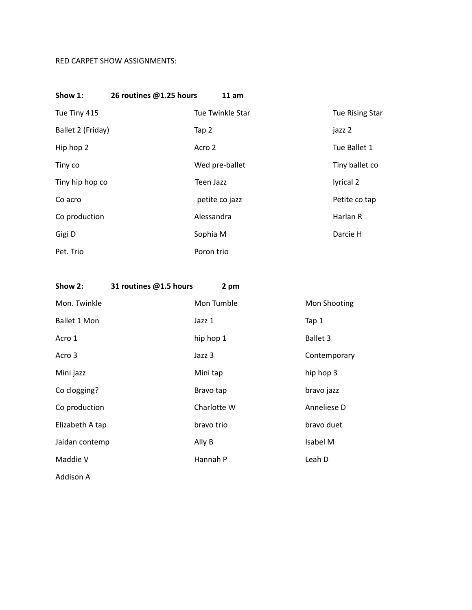## RED CARPET SHOW ASSIGNMENTS:

| Show 1:           | 26 routines @1.25 hours | 11 am            |                        |
|-------------------|-------------------------|------------------|------------------------|
| Tue Tiny 415      |                         | Tue Twinkle Star | <b>Tue Rising Star</b> |
| Ballet 2 (Friday) |                         | Tap 2            | jazz 2                 |
| Hip hop 2         |                         | Acro 2           | Tue Ballet 1           |
| Tiny co           |                         | Wed pre-ballet   | Tiny ballet co         |
| Tiny hip hop co   |                         | Teen Jazz        | lyrical 2              |
| Co acro           |                         | petite co jazz   | Petite co tap          |
| Co production     |                         | Alessandra       | Harlan R               |
| Gigi D            |                         | Sophia M         | Darcie H               |
| Pet. Trio         |                         | Poron trio       |                        |

| Show 2:         | 31 routines @1.5 hours | 2 pm        |                 |
|-----------------|------------------------|-------------|-----------------|
| Mon. Twinkle    |                        | Mon Tumble  | Mon Shooting    |
| Ballet 1 Mon    |                        | Jazz 1      | Tap 1           |
| Acro 1          |                        | hip hop 1   | <b>Ballet 3</b> |
| Acro 3          |                        | Jazz 3      | Contemporary    |
| Mini jazz       |                        | Mini tap    | hip hop 3       |
| Co clogging?    |                        | Bravo tap   | bravo jazz      |
| Co production   |                        | Charlotte W | Anneliese D     |
| Elizabeth A tap |                        | bravo trio  | bravo duet      |
| Jaidan contemp  |                        | Ally B      | Isabel M        |
| Maddie V        |                        | Hannah P    | Leah D          |

Addison A